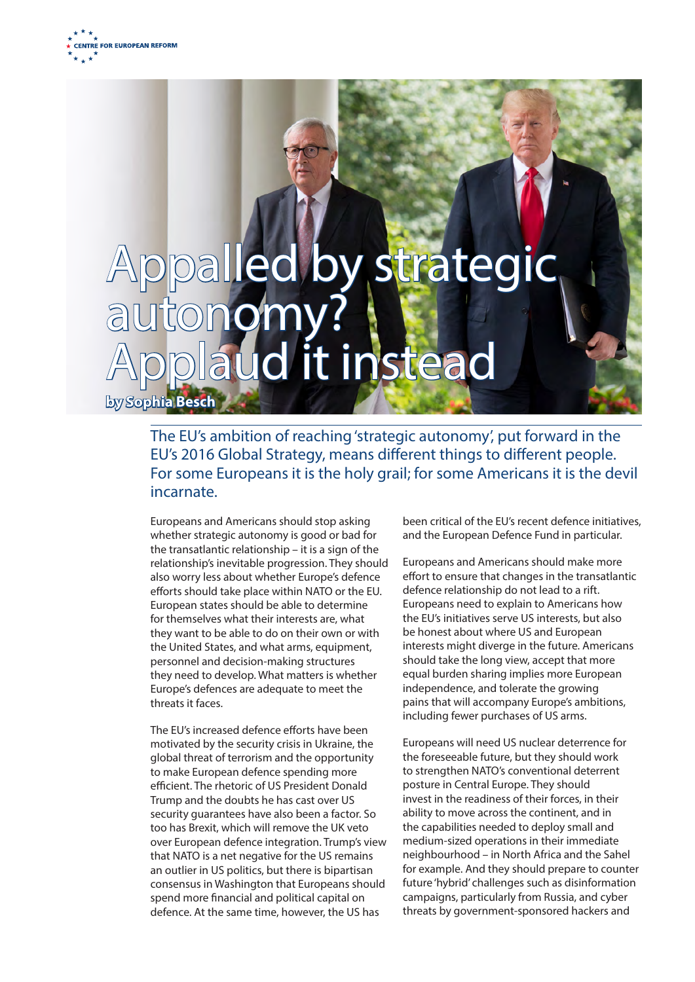

# Appalled by strateg autonomy aud it instead **by Sophia Besch**

The EU's ambition of reaching 'strategic autonomy', put forward in the EU's 2016 Global Strategy, means different things to different people. For some Europeans it is the holy grail; for some Americans it is the devil incarnate.

Europeans and Americans should stop asking whether strategic autonomy is good or bad for the transatlantic relationship – it is a sign of the relationship's inevitable progression. They should also worry less about whether Europe's defence efforts should take place within NATO or the EU. European states should be able to determine for themselves what their interests are, what they want to be able to do on their own or with the United States, and what arms, equipment, personnel and decision-making structures they need to develop. What matters is whether Europe's defences are adequate to meet the threats it faces.

The EU's increased defence efforts have been motivated by the security crisis in Ukraine, the global threat of terrorism and the opportunity to make European defence spending more efficient. The rhetoric of US President Donald Trump and the doubts he has cast over US security guarantees have also been a factor. So too has Brexit, which will remove the UK veto over European defence integration. Trump's view that NATO is a net negative for the US remains an outlier in US politics, but there is bipartisan consensus in Washington that Europeans should spend more financial and political capital on defence. At the same time, however, the US has

been critical of the EU's recent defence initiatives, and the European Defence Fund in particular.

Europeans and Americans should make more effort to ensure that changes in the transatlantic defence relationship do not lead to a rift. Europeans need to explain to Americans how the EU's initiatives serve US interests, but also be honest about where US and European interests might diverge in the future. Americans should take the long view, accept that more equal burden sharing implies more European independence, and tolerate the growing pains that will accompany Europe's ambitions, including fewer purchases of US arms.

Europeans will need US nuclear deterrence for the foreseeable future, but they should work to strengthen NATO's conventional deterrent posture in Central Europe. They should invest in the readiness of their forces, in their ability to move across the continent, and in the capabilities needed to deploy small and medium-sized operations in their immediate neighbourhood – in North Africa and the Sahel for example. And they should prepare to counter future 'hybrid' challenges such as disinformation campaigns, particularly from Russia, and cyber threats by government-sponsored hackers and